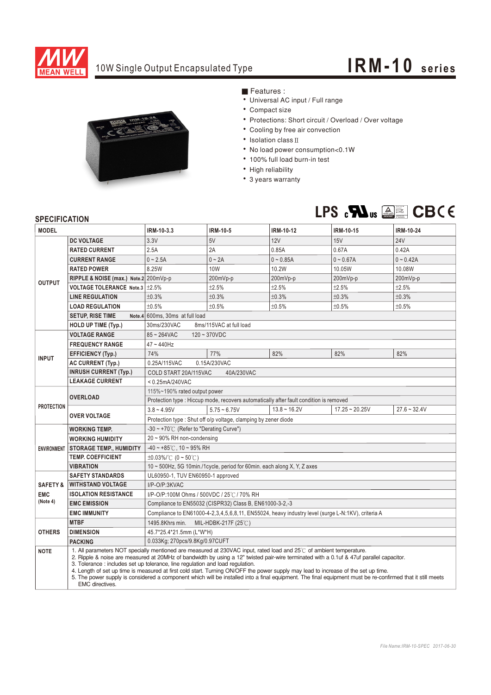

## 10W Single Output Encapsulated Type **IRM-10 series**



Features :

- Universal AC input / Full range
- Compact size
- Protections: Short circuit / Overload / Over voltage
- Cooling by free air convection
- Isolation class II
- No load power consumption<0.1W
- 100% full load burn-in test
- High reliability
- 3 years warranty



## **SPECIFICATION**

| <b>JELUIFIUAI IUN</b>                         |                                                                                                                                                                                                                                                                                                                                                                                                                                                                                                                                                                                                                                                                                 |                                                                                                   |                |                   |                  |                |
|-----------------------------------------------|---------------------------------------------------------------------------------------------------------------------------------------------------------------------------------------------------------------------------------------------------------------------------------------------------------------------------------------------------------------------------------------------------------------------------------------------------------------------------------------------------------------------------------------------------------------------------------------------------------------------------------------------------------------------------------|---------------------------------------------------------------------------------------------------|----------------|-------------------|------------------|----------------|
| <b>MODEL</b>                                  |                                                                                                                                                                                                                                                                                                                                                                                                                                                                                                                                                                                                                                                                                 | IRM-10-3.3                                                                                        | IRM-10-5       | IRM-10-12         | <b>IRM-10-15</b> | IRM-10-24      |
| <b>OUTPUT</b>                                 | <b>DC VOLTAGE</b>                                                                                                                                                                                                                                                                                                                                                                                                                                                                                                                                                                                                                                                               | 3.3V                                                                                              | 5V             | 12V               | <b>15V</b>       | <b>24V</b>     |
|                                               | <b>RATED CURRENT</b>                                                                                                                                                                                                                                                                                                                                                                                                                                                                                                                                                                                                                                                            | 2.5A                                                                                              | 2A             | 0.85A             | 0.67A            | 0.42A          |
|                                               | <b>CURRENT RANGE</b>                                                                                                                                                                                                                                                                                                                                                                                                                                                                                                                                                                                                                                                            | $0 - 2.5A$                                                                                        | $0 - 2A$       | $0 - 0.85A$       | $0 - 0.67A$      | $0 - 0.42A$    |
|                                               | <b>RATED POWER</b>                                                                                                                                                                                                                                                                                                                                                                                                                                                                                                                                                                                                                                                              | 8.25W                                                                                             | 10W            | 10.2W             | 10.05W           | 10.08W         |
|                                               | RIPPLE & NOISE (max.) Note.2 200mVp-p                                                                                                                                                                                                                                                                                                                                                                                                                                                                                                                                                                                                                                           |                                                                                                   | 200mVp-p       | 200mVp-p          | 200mVp-p         | 200mVp-p       |
|                                               | VOLTAGE TOLERANCE Note.3 ±2.5%                                                                                                                                                                                                                                                                                                                                                                                                                                                                                                                                                                                                                                                  |                                                                                                   | ±2.5%          | ±2.5%             | ±2.5%            | ±2.5%          |
|                                               | <b>LINE REGULATION</b>                                                                                                                                                                                                                                                                                                                                                                                                                                                                                                                                                                                                                                                          | ±0.3%                                                                                             | ±0.3%          | ±0.3%             | ±0.3%            | ±0.3%          |
|                                               | <b>LOAD REGULATION</b>                                                                                                                                                                                                                                                                                                                                                                                                                                                                                                                                                                                                                                                          | ±0.5%                                                                                             | ±0.5%          | ±0.5%             | ±0.5%            | ±0.5%          |
|                                               | <b>SETUP, RISE TIME</b>                                                                                                                                                                                                                                                                                                                                                                                                                                                                                                                                                                                                                                                         | Note.4 600ms, 30ms at full load                                                                   |                |                   |                  |                |
|                                               | HOLD UP TIME (Typ.)                                                                                                                                                                                                                                                                                                                                                                                                                                                                                                                                                                                                                                                             | 30ms/230VAC<br>8ms/115VAC at full load                                                            |                |                   |                  |                |
| <b>INPUT</b>                                  | <b>VOLTAGE RANGE</b>                                                                                                                                                                                                                                                                                                                                                                                                                                                                                                                                                                                                                                                            | $85 - 264$ VAC<br>$120 - 370VDC$                                                                  |                |                   |                  |                |
|                                               | <b>FREQUENCY RANGE</b>                                                                                                                                                                                                                                                                                                                                                                                                                                                                                                                                                                                                                                                          | 47~440Hz                                                                                          |                |                   |                  |                |
|                                               | <b>EFFICIENCY (Typ.)</b>                                                                                                                                                                                                                                                                                                                                                                                                                                                                                                                                                                                                                                                        | 74%                                                                                               | 77%            | 82%               | 82%              | 82%            |
|                                               | <b>AC CURRENT (Typ.)</b>                                                                                                                                                                                                                                                                                                                                                                                                                                                                                                                                                                                                                                                        | 0.25A/115VAC<br>0.15A/230VAC                                                                      |                |                   |                  |                |
|                                               | <b>INRUSH CURRENT (Typ.)</b>                                                                                                                                                                                                                                                                                                                                                                                                                                                                                                                                                                                                                                                    | COLD START 20A/115VAC<br>40A/230VAC                                                               |                |                   |                  |                |
|                                               | <b>LEAKAGE CURRENT</b>                                                                                                                                                                                                                                                                                                                                                                                                                                                                                                                                                                                                                                                          | $< 0.25$ mA/240VAC                                                                                |                |                   |                  |                |
| <b>PROTECTION</b>                             |                                                                                                                                                                                                                                                                                                                                                                                                                                                                                                                                                                                                                                                                                 | 115%~190% rated output power                                                                      |                |                   |                  |                |
|                                               | <b>OVERLOAD</b>                                                                                                                                                                                                                                                                                                                                                                                                                                                                                                                                                                                                                                                                 | Protection type : Hiccup mode, recovers automatically after fault condition is removed            |                |                   |                  |                |
|                                               | <b>OVER VOLTAGE</b>                                                                                                                                                                                                                                                                                                                                                                                                                                                                                                                                                                                                                                                             | $3.8 - 4.95V$                                                                                     | $5.75 - 6.75V$ | $13.8 \sim 16.2V$ | $17.25 - 20.25V$ | $27.6 - 32.4V$ |
|                                               |                                                                                                                                                                                                                                                                                                                                                                                                                                                                                                                                                                                                                                                                                 | Protection type: Shut off o/p voltage, clamping by zener diode                                    |                |                   |                  |                |
| <b>ENVIRONMENT</b>                            | <b>WORKING TEMP.</b>                                                                                                                                                                                                                                                                                                                                                                                                                                                                                                                                                                                                                                                            | -30 ~ +70°C (Refer to "Derating Curve")                                                           |                |                   |                  |                |
|                                               | <b>WORKING HUMIDITY</b>                                                                                                                                                                                                                                                                                                                                                                                                                                                                                                                                                                                                                                                         | $20 \sim 90\%$ RH non-condensing                                                                  |                |                   |                  |                |
|                                               | <b>STORAGE TEMP., HUMIDITY</b>                                                                                                                                                                                                                                                                                                                                                                                                                                                                                                                                                                                                                                                  | $-40 \sim +85^{\circ}$ C, 10 ~ 95% RH                                                             |                |                   |                  |                |
|                                               | <b>TEMP. COEFFICIENT</b>                                                                                                                                                                                                                                                                                                                                                                                                                                                                                                                                                                                                                                                        | ±0.03%/°C (0 ~ 50°C)                                                                              |                |                   |                  |                |
|                                               | <b>VIBRATION</b>                                                                                                                                                                                                                                                                                                                                                                                                                                                                                                                                                                                                                                                                | 10 ~ 500Hz, 5G 10min./1cycle, period for 60min. each along X, Y, Z axes                           |                |                   |                  |                |
| <b>SAFETY &amp;</b><br><b>EMC</b><br>(Note 4) | <b>SAFETY STANDARDS</b>                                                                                                                                                                                                                                                                                                                                                                                                                                                                                                                                                                                                                                                         | UL60950-1, TUV EN60950-1 approved                                                                 |                |                   |                  |                |
|                                               | <b>WITHSTAND VOLTAGE</b>                                                                                                                                                                                                                                                                                                                                                                                                                                                                                                                                                                                                                                                        | I/P-O/P:3KVAC                                                                                     |                |                   |                  |                |
|                                               | <b>ISOLATION RESISTANCE</b>                                                                                                                                                                                                                                                                                                                                                                                                                                                                                                                                                                                                                                                     | I/P-O/P:100M Ohms / 500VDC / 25℃ / 70% RH                                                         |                |                   |                  |                |
|                                               | <b>EMC EMISSION</b>                                                                                                                                                                                                                                                                                                                                                                                                                                                                                                                                                                                                                                                             | Compliance to EN55032 (CISPR32) Class B, EN61000-3-2,-3                                           |                |                   |                  |                |
|                                               | <b>EMC IMMUNITY</b>                                                                                                                                                                                                                                                                                                                                                                                                                                                                                                                                                                                                                                                             | Compliance to EN61000-4-2,3,4,5,6,8,11, EN55024, heavy industry level (surge L-N:1KV), criteria A |                |                   |                  |                |
| <b>OTHERS</b>                                 | <b>MTBF</b>                                                                                                                                                                                                                                                                                                                                                                                                                                                                                                                                                                                                                                                                     | 1495.8Khrs min. MIL-HDBK-217F (25°C)                                                              |                |                   |                  |                |
|                                               | <b>DIMENSION</b>                                                                                                                                                                                                                                                                                                                                                                                                                                                                                                                                                                                                                                                                | 45.7*25.4*21.5mm (L*W*H)                                                                          |                |                   |                  |                |
|                                               | <b>PACKING</b>                                                                                                                                                                                                                                                                                                                                                                                                                                                                                                                                                                                                                                                                  | 0.033Kg; 270pcs/9.8Kg/0.97CUFT                                                                    |                |                   |                  |                |
| <b>NOTE</b>                                   | 1. All parameters NOT specially mentioned are measured at 230VAC input, rated load and 25°C of ambient temperature.<br>2. Ripple & noise are measured at 20MHz of bandwidth by using a 12" twisted pair-wire terminated with a 0.1uf & 47uf parallel capacitor.<br>3. Tolerance : includes set up tolerance, line regulation and load regulation.<br>4. Length of set up time is measured at first cold start. Turning ON/OFF the power supply may lead to increase of the set up time.<br>5. The power supply is considered a component which will be installed into a final equipment. The final equipment must be re-confirmed that it still meets<br><b>EMC</b> directives. |                                                                                                   |                |                   |                  |                |